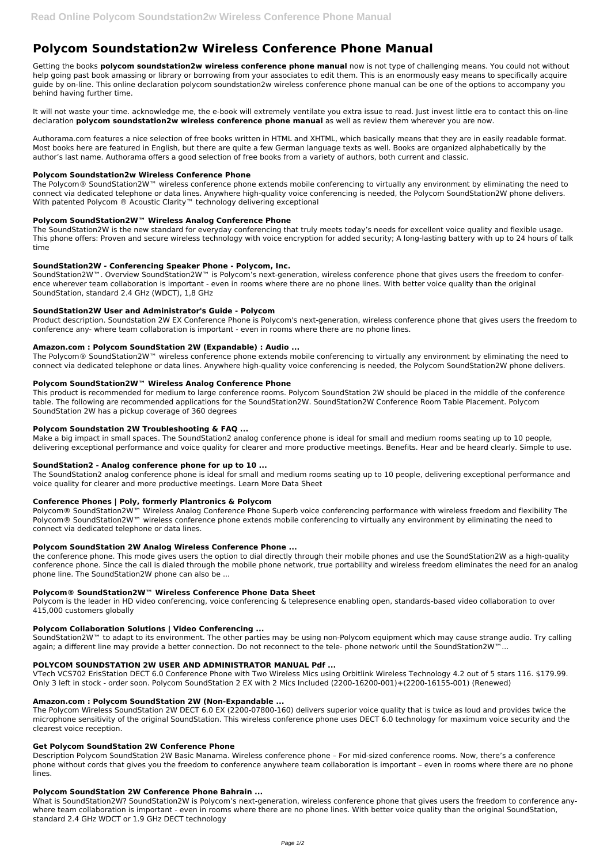# **Polycom Soundstation2w Wireless Conference Phone Manual**

Getting the books **polycom soundstation2w wireless conference phone manual** now is not type of challenging means. You could not without help going past book amassing or library or borrowing from your associates to edit them. This is an enormously easy means to specifically acquire guide by on-line. This online declaration polycom soundstation2w wireless conference phone manual can be one of the options to accompany you behind having further time.

The Polycom® SoundStation2W™ wireless conference phone extends mobile conferencing to virtually any environment by eliminating the need to connect via dedicated telephone or data lines. Anywhere high-quality voice conferencing is needed, the Polycom SoundStation2W phone delivers. With patented Polycom ® Acoustic Clarity™ technology delivering exceptional

It will not waste your time. acknowledge me, the e-book will extremely ventilate you extra issue to read. Just invest little era to contact this on-line declaration **polycom soundstation2w wireless conference phone manual** as well as review them wherever you are now.

Authorama.com features a nice selection of free books written in HTML and XHTML, which basically means that they are in easily readable format. Most books here are featured in English, but there are quite a few German language texts as well. Books are organized alphabetically by the author's last name. Authorama offers a good selection of free books from a variety of authors, both current and classic.

SoundStation2W™. Overview SoundStation2W™ is Polycom's next-generation, wireless conference phone that gives users the freedom to conference wherever team collaboration is important - even in rooms where there are no phone lines. With better voice quality than the original SoundStation, standard 2.4 GHz (WDCT), 1,8 GHz

#### **Polycom Soundstation2w Wireless Conference Phone**

#### **Polycom SoundStation2W™ Wireless Analog Conference Phone**

The SoundStation2W is the new standard for everyday conferencing that truly meets today's needs for excellent voice quality and flexible usage. This phone offers: Proven and secure wireless technology with voice encryption for added security; A long-lasting battery with up to 24 hours of talk time

#### **SoundStation2W - Conferencing Speaker Phone - Polycom, Inc.**

Polycom® SoundStation2W™ Wireless Analog Conference Phone Superb voice conferencing performance with wireless freedom and flexibility The Polycom® SoundStation2W™ wireless conference phone extends mobile conferencing to virtually any environment by eliminating the need to connect via dedicated telephone or data lines.

#### **SoundStation2W User and Administrator's Guide - Polycom**

SoundStation2W™ to adapt to its environment. The other parties may be using non-Polycom equipment which may cause strange audio. Try calling again; a different line may provide a better connection. Do not reconnect to the tele- phone network until the SoundStation2W™...

Product description. Soundstation 2W EX Conference Phone is Polycom's next-generation, wireless conference phone that gives users the freedom to conference any- where team collaboration is important - even in rooms where there are no phone lines.

#### **Amazon.com : Polycom SoundStation 2W (Expandable) : Audio ...**

The Polycom® SoundStation2W™ wireless conference phone extends mobile conferencing to virtually any environment by eliminating the need to connect via dedicated telephone or data lines. Anywhere high-quality voice conferencing is needed, the Polycom SoundStation2W phone delivers.

## **Polycom SoundStation2W™ Wireless Analog Conference Phone**

This product is recommended for medium to large conference rooms. Polycom SoundStation 2W should be placed in the middle of the conference table. The following are recommended applications for the SoundStation2W. SoundStation2W Conference Room Table Placement. Polycom SoundStation 2W has a pickup coverage of 360 degrees

#### **Polycom Soundstation 2W Troubleshooting & FAQ ...**

Make a big impact in small spaces. The SoundStation2 analog conference phone is ideal for small and medium rooms seating up to 10 people, delivering exceptional performance and voice quality for clearer and more productive meetings. Benefits. Hear and be heard clearly. Simple to use.

#### **SoundStation2 - Analog conference phone for up to 10 ...**

The SoundStation2 analog conference phone is ideal for small and medium rooms seating up to 10 people, delivering exceptional performance and voice quality for clearer and more productive meetings. Learn More Data Sheet

#### **Conference Phones | Poly, formerly Plantronics & Polycom**

#### **Polycom SoundStation 2W Analog Wireless Conference Phone ...**

the conference phone. This mode gives users the option to dial directly through their mobile phones and use the SoundStation2W as a high-quality conference phone. Since the call is dialed through the mobile phone network, true portability and wireless freedom eliminates the need for an analog phone line. The SoundStation2W phone can also be ...

#### **Polycom® SoundStation2W™ Wireless Conference Phone Data Sheet**

Polycom is the leader in HD video conferencing, voice conferencing & telepresence enabling open, standards-based video collaboration to over 415,000 customers globally

### **Polycom Collaboration Solutions | Video Conferencing ...**

#### **POLYCOM SOUNDSTATION 2W USER AND ADMINISTRATOR MANUAL Pdf ...**

VTech VCS702 ErisStation DECT 6.0 Conference Phone with Two Wireless Mics using Orbitlink Wireless Technology 4.2 out of 5 stars 116. \$179.99. Only 3 left in stock - order soon. Polycom SoundStation 2 EX with 2 Mics Included (2200-16200-001)+(2200-16155-001) (Renewed)

# **Amazon.com : Polycom SoundStation 2W (Non-Expandable ...**

The Polycom Wireless SoundStation 2W DECT 6.0 EX (2200-07800-160) delivers superior voice quality that is twice as loud and provides twice the microphone sensitivity of the original SoundStation. This wireless conference phone uses DECT 6.0 technology for maximum voice security and the clearest voice reception.

#### **Get Polycom SoundStation 2W Conference Phone**

Description Polycom SoundStation 2W Basic Manama. Wireless conference phone – For mid-sized conference rooms. Now, there's a conference phone without cords that gives you the freedom to conference anywhere team collaboration is important – even in rooms where there are no phone lines.

#### **Polycom SoundStation 2W Conference Phone Bahrain ...**

What is SoundStation2W? SoundStation2W is Polycom's next-generation, wireless conference phone that gives users the freedom to conference anywhere team collaboration is important - even in rooms where there are no phone lines. With better voice quality than the original SoundStation, standard 2.4 GHz WDCT or 1.9 GHz DECT technology